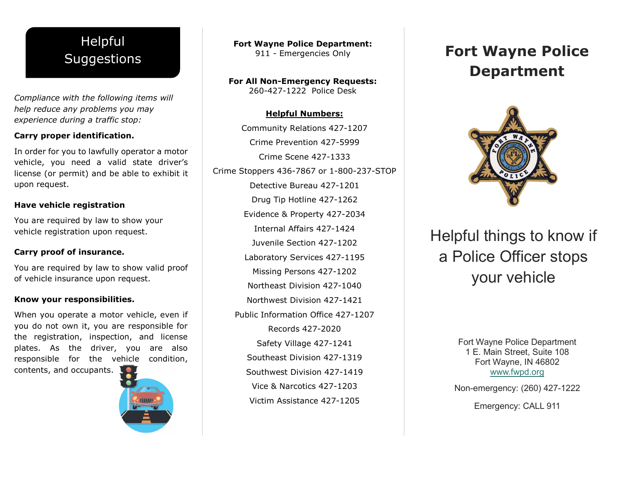## Helpful **Suggestions**

*Compliance with the following items will help reduce any problems you may experience during a traffic stop:* 

### **Carry proper identification.**

In order for you to lawfully operator a motor vehicle, you need a valid state driver's license (or permit) and be able to exhibit it upon request.

### **Have vehicle registration**

You are required by law to show your vehicle registration upon request.

### **Carry proof of insurance.**

You are required by law to show valid proof of vehicle insurance upon request.

#### **Know your responsibilities.**

When you operate a motor vehicle, even if you do not own it, you are responsible for the registration, inspection, and license plates. As the driver, you are also responsible for the vehicle condition,

contents, and occupants.



**Fort Wayne Police Department:** 911 - Emergencies Only

**For All Non-Emergency Requests:** 260-427-1222 Police Desk

### **Helpful Numbers:**

Community Relations 427-1207 Crime Prevention 427-5999 Crime Scene 427-1333 Crime Stoppers 436-7867 or 1-800-237-STOP Detective Bureau 427-1201 Drug Tip Hotline 427-1262 Evidence & Property 427-2034 Internal Affairs 427-1424 Juvenile Section 427-1202 Laboratory Services 427-1195 Missing Persons 427-1202 Northeast Division 427-1040 Northwest Division 427-1421 Public Information Office 427-1207 Records 427-2020 Safety Village 427-1241 Southeast Division 427-1319 Southwest Division 427-1419 Vice & Narcotics 427-1203 Victim Assistance 427-1205

# **Fort Wayne Police Department**



Helpful things to know if a Police Officer stops your vehicle

> Fort Wayne Police Department 1 E. Main Street, Suite 108 Fort Wayne, IN 46802 [www.fwpd.org](http://www.fwpd.org/)

Non-emergency: (260) 427-1222

Emergency: CALL 911